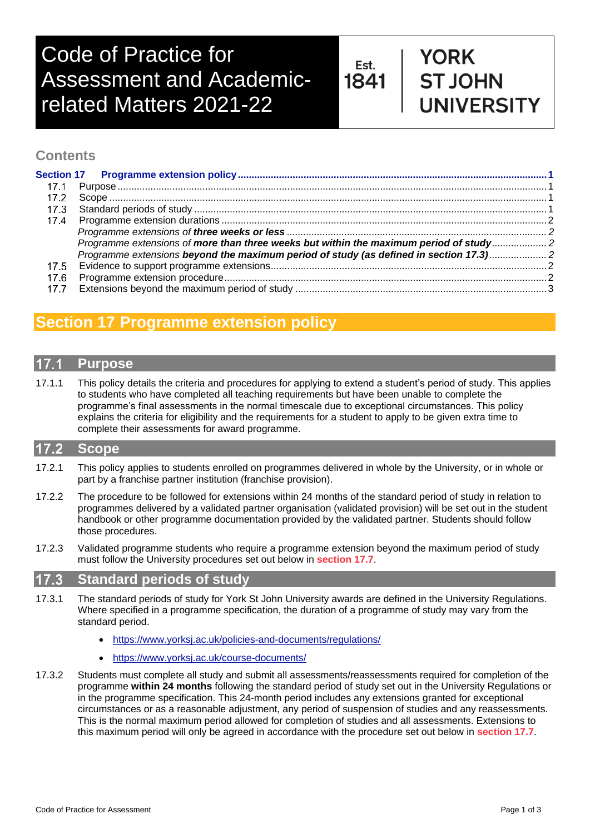# Code of Practice for Assessment and Academicrelated Matters 2021-22

Est. 1841

## **YORK ST JOHN JNIVERSITY**

## **Contents**

|      | Programme extensions of more than three weeks but within the maximum period of study |  |
|------|--------------------------------------------------------------------------------------|--|
|      | Programme extensions beyond the maximum period of study (as defined in section 17.3) |  |
|      |                                                                                      |  |
| 17.6 |                                                                                      |  |
|      |                                                                                      |  |

## <span id="page-0-0"></span>**Section 17 Programme extension policy**

## <span id="page-0-1"></span>**Purpose**

17.1.1 This policy details the criteria and procedures for applying to extend a student's period of study. This applies to students who have completed all teaching requirements but have been unable to complete the programme's final assessments in the normal timescale due to exceptional circumstances. This policy explains the criteria for eligibility and the requirements for a student to apply to be given extra time to complete their assessments for award programme.

## <span id="page-0-2"></span>**Scope**

- 17.2.1 This policy applies to students enrolled on programmes delivered in whole by the University, or in whole or part by a franchise partner institution (franchise provision).
- 17.2.2 The procedure to be followed for extensions within 24 months of the standard period of study in relation to programmes delivered by a validated partner organisation (validated provision) will be set out in the student handbook or other programme documentation provided by the validated partner. Students should follow those procedures.
- 17.2.3 Validated programme students who require a programme extension beyond the maximum period of study must follow the University procedures set out below in **section 17.7**.

#### <span id="page-0-3"></span> $17.3$ **Standard periods of study**

- 17.3.1 The standard periods of study for York St John University awards are defined in the University Regulations. Where specified in a programme specification, the duration of a programme of study may vary from the standard period.
	- <https://www.yorksj.ac.uk/policies-and-documents/regulations/>
	- <https://www.yorksj.ac.uk/course-documents/>
- 17.3.2 Students must complete all study and submit all assessments/reassessments required for completion of the programme **within 24 months** following the standard period of study set out in the University Regulations or in the programme specification. This 24-month period includes any extensions granted for exceptional circumstances or as a reasonable adjustment, any period of suspension of studies and any reassessments. This is the normal maximum period allowed for completion of studies and all assessments. Extensions to this maximum period will only be agreed in accordance with the procedure set out below in **section 17.7**.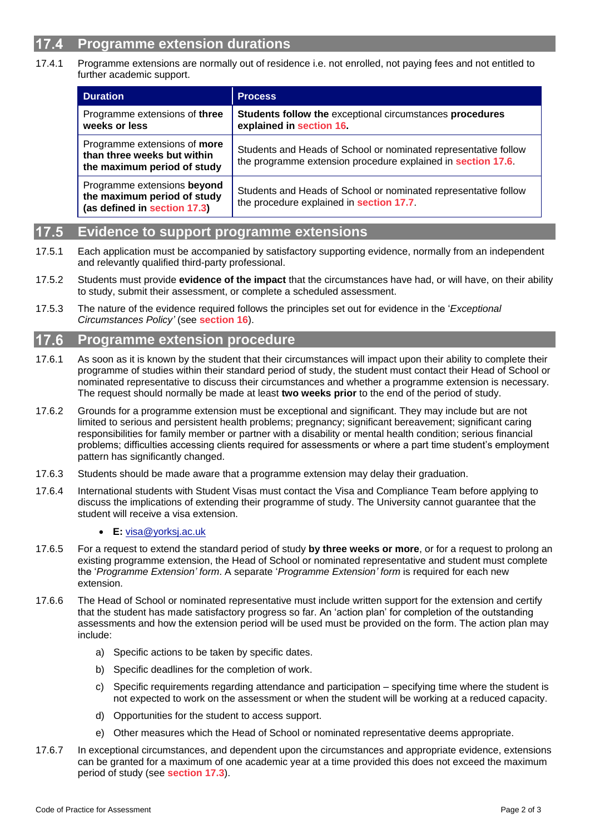## <span id="page-1-0"></span>**Programme extension durations**

17.4.1 Programme extensions are normally out of residence i.e. not enrolled, not paying fees and not entitled to further academic support.

<span id="page-1-2"></span><span id="page-1-1"></span>

| <b>Duration</b>                                                                            | <b>Process</b>                                                                                                                  |
|--------------------------------------------------------------------------------------------|---------------------------------------------------------------------------------------------------------------------------------|
| Programme extensions of three<br>weeks or less                                             | Students follow the exceptional circumstances procedures<br>explained in section 16.                                            |
| Programme extensions of more<br>than three weeks but within<br>the maximum period of study | Students and Heads of School or nominated representative follow<br>the programme extension procedure explained in section 17.6. |
| Programme extensions beyond<br>the maximum period of study<br>(as defined in section 17.3) | Students and Heads of School or nominated representative follow<br>the procedure explained in section 17.7.                     |

#### <span id="page-1-4"></span><span id="page-1-3"></span>**Evidence to support programme extensions** 7.5

- 17.5.1 Each application must be accompanied by satisfactory supporting evidence, normally from an independent and relevantly qualified third-party professional.
- 17.5.2 Students must provide **evidence of the impact** that the circumstances have had, or will have, on their ability to study, submit their assessment, or complete a scheduled assessment.
- 17.5.3 The nature of the evidence required follows the principles set out for evidence in the '*Exceptional Circumstances Policy'* (see **section 16**).

#### <span id="page-1-5"></span>17.6 **Programme extension procedure**

- 17.6.1 As soon as it is known by the student that their circumstances will impact upon their ability to complete their programme of studies within their standard period of study, the student must contact their Head of School or nominated representative to discuss their circumstances and whether a programme extension is necessary. The request should normally be made at least **two weeks prior** to the end of the period of study.
- 17.6.2 Grounds for a programme extension must be exceptional and significant. They may include but are not limited to serious and persistent health problems; pregnancy; significant bereavement; significant caring responsibilities for family member or partner with a disability or mental health condition; serious financial problems; difficulties accessing clients required for assessments or where a part time student's employment pattern has significantly changed.
- 17.6.3 Students should be made aware that a programme extension may delay their graduation.
- 17.6.4 International students with Student Visas must contact the Visa and Compliance Team before applying to discuss the implications of extending their programme of study. The University cannot guarantee that the student will receive a visa extension.

### • **E:** [visa@yorksj.ac.uk](mailto:visa@yorksj.ac.uk)

- 17.6.5 For a request to extend the standard period of study **by three weeks or more**, or for a request to prolong an existing programme extension, the Head of School or nominated representative and student must complete the '*Programme Extension' form*. A separate '*Programme Extension' form* is required for each new extension.
- 17.6.6 The Head of School or nominated representative must include written support for the extension and certify that the student has made satisfactory progress so far. An 'action plan' for completion of the outstanding assessments and how the extension period will be used must be provided on the form. The action plan may include:
	- a) Specific actions to be taken by specific dates.
	- b) Specific deadlines for the completion of work.
	- c) Specific requirements regarding attendance and participation specifying time where the student is not expected to work on the assessment or when the student will be working at a reduced capacity.
	- d) Opportunities for the student to access support.
	- e) Other measures which the Head of School or nominated representative deems appropriate.
- 17.6.7 In exceptional circumstances, and dependent upon the circumstances and appropriate evidence, extensions can be granted for a maximum of one academic year at a time provided this does not exceed the maximum period of study (see **section 17.3**).